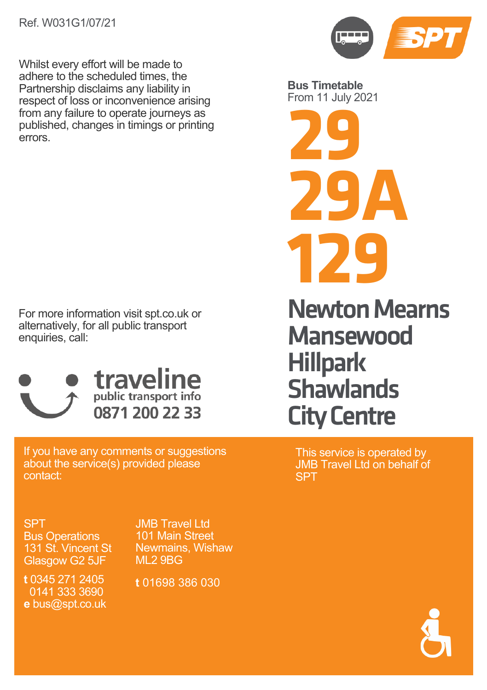

For more information visit spt.co.uk or alternatively, for all public transport enquiries, call:



If you have any comments or suggestions about the service(s) provided please contact:

SPT Bus Operations 131 St. Vincent St Glasgow G2 5JF

JMB Travel Ltd 101 Main Street Newmains, Wishaw ML2 9BG

**t** 0345 271 2405 0141 333 3690 **e** bus@spt.co.uk

**t** 01698 386 030



**Bus Timetable** From 11 July 2021

**29 29A 129**

Newton Mearns **Mansewood Hillpark Shawlands** City Centre

This service is operated by JMB Travel Ltd on behalf of **SPT** 

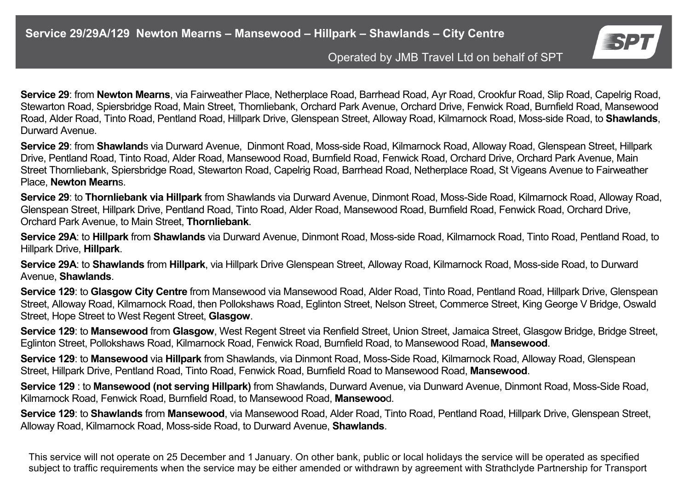

**Service 29**: from **Newton Mearns**, via Fairweather Place, Netherplace Road, Barrhead Road, Ayr Road, Crookfur Road, Slip Road, Capelrig Road, Stewarton Road, Spiersbridge Road, Main Street, Thornliebank, Orchard Park Avenue, Orchard Drive, Fenwick Road, Burnfield Road, Mansewood Road, Alder Road, Tinto Road, Pentland Road, Hillpark Drive, Glenspean Street, Alloway Road, Kilmarnock Road, Moss-side Road, to **Shawlands**, Durward Avenue.

**Service 29**: from **Shawland**s via Durward Avenue, Dinmont Road, Moss-side Road, Kilmarnock Road, Alloway Road, Glenspean Street, Hillpark Drive, Pentland Road, Tinto Road, Alder Road, Mansewood Road, Burnfield Road, Fenwick Road, Orchard Drive, Orchard Park Avenue, Main Street Thornliebank, Spiersbridge Road, Stewarton Road, Capelrig Road, Barrhead Road, Netherplace Road, St Vigeans Avenue to Fairweather Place, **Newton Mearn**s.

**Service 29**: to **Thornliebank via Hillpark** from Shawlands via Durward Avenue, Dinmont Road, Moss-Side Road, Kilmarnock Road, Alloway Road, Glenspean Street, Hillpark Drive, Pentland Road, Tinto Road, Alder Road, Mansewood Road, Burnfield Road, Fenwick Road, Orchard Drive, Orchard Park Avenue, to Main Street, **Thornliebank**.

**Service 29A**: to **Hillpark** from **Shawlands** via Durward Avenue, Dinmont Road, Moss-side Road, Kilmarnock Road, Tinto Road, Pentland Road, to Hillpark Drive, **Hillpark**.

**Service 29A**: to **Shawlands** from **Hillpark**, via Hillpark Drive Glenspean Street, Alloway Road, Kilmarnock Road, Moss-side Road, to Durward Avenue, **Shawlands**.

**Service 129**: to **Glasgow City Centre** from Mansewood via Mansewood Road, Alder Road, Tinto Road, Pentland Road, Hillpark Drive, Glenspean Street, Alloway Road, Kilmarnock Road, then Pollokshaws Road, Eglinton Street, Nelson Street, Commerce Street, King George V Bridge, Oswald Street, Hope Street to West Regent Street, **Glasgow**.

**Service 129**: to **Mansewood** from **Glasgow**, West Regent Street via Renfield Street, Union Street, Jamaica Street, Glasgow Bridge, Bridge Street, Eglinton Street, Pollokshaws Road, Kilmarnock Road, Fenwick Road, Burnfield Road, to Mansewood Road, **Mansewood**.

**Service 129**: to **Mansewood** via **Hillpark** from Shawlands, via Dinmont Road, Moss-Side Road, Kilmarnock Road, Alloway Road, Glenspean Street, Hillpark Drive, Pentland Road, Tinto Road, Fenwick Road, Burnfield Road to Mansewood Road, **Mansewood**.

**Service 129** : to **Mansewood (not serving Hillpark)** from Shawlands, Durward Avenue, via Dunward Avenue, Dinmont Road, Moss-Side Road, Kilmarnock Road, Fenwick Road, Burnfield Road, to Mansewood Road, **Mansewoo**d.

**Service 129**: to **Shawlands** from **Mansewood**, via Mansewood Road, Alder Road, Tinto Road, Pentland Road, Hillpark Drive, Glenspean Street, Alloway Road, Kilmarnock Road, Moss-side Road, to Durward Avenue, **Shawlands**.

This service will not operate on 25 December and 1 January. On other bank, public or local holidays the service will be operated as specified subject to traffic requirements when the service may be either amended or withdrawn by agreement with Strathclyde Partnership for Transport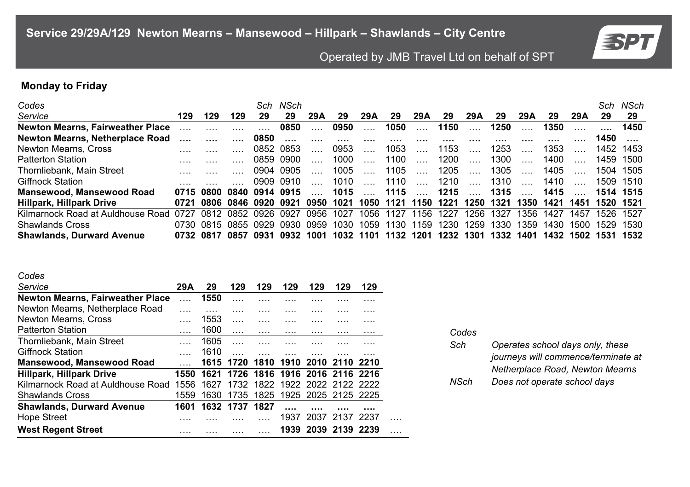

# **Monday to Friday**

| Codes                             |      |                     |                |      | Sch NSch  |          |      |      |      |      |      |          |      |      |      |      | Sch  | NSch      |
|-----------------------------------|------|---------------------|----------------|------|-----------|----------|------|------|------|------|------|----------|------|------|------|------|------|-----------|
| Service                           | 129  | 129                 | 129            | 29   | 29        | 29 A     | 29   | 29 A | 29   | 29A  | 29   | 29 A     | 29   | 29 A | 29   | 29 A | 29   | 29        |
| Newton Mearns, Fairweather Place  |      |                     | $\cdots$       |      | 0850      |          | 0950 |      | 1050 |      | 1150 |          | 1250 |      | 1350 |      |      | 1450      |
| Newton Mearns, Netherplace Road   |      |                     | $\cdots$       | 0850 | $\cdots$  | $\cdots$ |      |      |      |      | .    | .        |      |      |      |      | 1450 |           |
| Newton Mearns, Cross              |      |                     |                |      | 0852 0853 |          | 0953 |      | 1053 |      | 1153 |          | 1253 |      | 1353 |      |      | 1452 1453 |
| <b>Patterton Station</b>          |      |                     |                |      | 0859 0900 |          | 1000 |      | 1100 |      | 1200 |          | 1300 |      | 1400 |      |      | 1459 1500 |
| Thornliebank, Main Street         |      |                     |                |      | 0904 0905 |          | 1005 |      | 1105 |      | 1205 |          | 1305 |      | 1405 |      | 1504 | 1505      |
| <b>Giffnock Station</b>           |      |                     |                |      | 0909 0910 |          | 1010 |      | 1110 |      | 1210 | $\cdots$ | 1310 |      | 1410 |      |      | 1509 1510 |
| Mansewood, Mansewood Road         | 0715 | 0800                | 0840 0914 0915 |      |           |          | 1015 |      | 1115 |      | 1215 |          | 1315 |      | 1415 |      |      | 1514 1515 |
| Hillpark, Hillpark Drive          | 0721 | 0806 0846 0920      |                |      | 0921      | 0950     | 1021 | 1050 | 1121 | 1150 | 1221 | 1250     | 1321 | 1350 | 1421 | 1451 | 1520 | -1521     |
| Kilmarnock Road at Auldhouse Road | 0727 | 0812                | 0852           | 0926 | 0927      | 0956     | 1027 | 1056 | 1127 | 1156 | 1227 | 1256.    | 1327 | 1356 | 1427 | 1457 | 1526 | 1527      |
| <b>Shawlands Cross</b>            |      | 0730 0815 0855 0929 |                |      | 0930      | 0959     | 1030 | 1059 | 1130 | 1159 | 1230 | 1259     | 1330 | 1359 | 1430 | 1500 | 1529 | 1530      |
| <b>Shawlands, Durward Avenue</b>  |      | 0732 0817           | 0857           | 0931 | 0932      | 1001     | 1032 | 1101 | 1132 | 1201 | 1232 | 1301     | 1332 | 1401 | 1432 | 1502 | 1531 | 1532      |

| ×<br>۰,<br>×<br>۰. | ٠ |
|--------------------|---|
|--------------------|---|

| - - - - -                               |      |      |           |                               |      |                     |                |     |  |
|-----------------------------------------|------|------|-----------|-------------------------------|------|---------------------|----------------|-----|--|
| Service                                 | 29A  | 29   | 129       | 129                           | 129  | 129                 | 129            | 129 |  |
| <b>Newton Mearns, Fairweather Place</b> |      | 1550 |           |                               |      |                     |                |     |  |
| Newton Mearns, Netherplace Road         |      |      |           |                               |      |                     |                |     |  |
| Newton Mearns, Cross                    |      | 1553 |           |                               |      |                     |                |     |  |
| <b>Patterton Station</b>                |      | 1600 |           | .                             | .    | .                   | .              | .   |  |
| Thornliebank, Main Street               |      | 1605 |           |                               |      |                     |                |     |  |
| <b>Giffnock Station</b>                 |      | 1610 |           |                               |      |                     |                |     |  |
| Mansewood, Mansewood Road               |      |      | 1615 1720 | 1810                          | 1910 | 2010                | 2110 2210      |     |  |
| Hillpark, Hillpark Drive                | 1550 | 1621 |           | 1726 1816 1916 2016 2116 2216 |      |                     |                |     |  |
| Kilmarnock Road at Auldhouse Road       | 1556 | 1627 | 1732      | 1822 1922 2022 2122 2222      |      |                     |                |     |  |
| <b>Shawlands Cross</b>                  | 1559 | 1630 |           | 1735 1825 1925 2025 2125 2225 |      |                     |                |     |  |
| <b>Shawlands, Durward Avenue</b>        | 1601 | 1632 | 1737      | 1827                          |      |                     |                |     |  |
| <b>Hope Street</b>                      |      |      |           |                               | 1937 |                     | 2037 2137 2237 |     |  |
| <b>West Regent Street</b>               |      |      |           |                               |      | 1939 2039 2139 2239 |                |     |  |

| Codes |                                     |
|-------|-------------------------------------|
| Sch   | Operates school days only, these    |
|       | journeys will commence/terminate at |
|       | Netherplace Road, Newton Mearns     |
| NSch  | Does not operate school days        |
|       |                                     |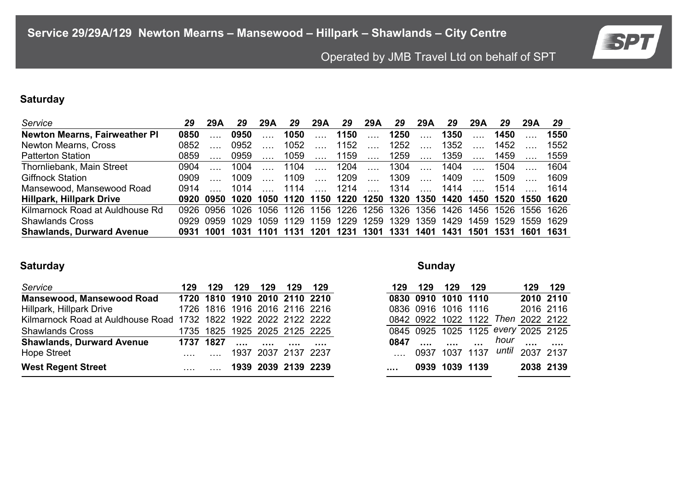

# **Saturday**

| Service                          | 29   | 29A       | 29   | 29 A | 29        | 29A    | 29                       | 29A                                     | 29     | 29A             | 29                  | 29 A                     | 29   | 29 A      | 29   |
|----------------------------------|------|-----------|------|------|-----------|--------|--------------------------|-----------------------------------------|--------|-----------------|---------------------|--------------------------|------|-----------|------|
| Newton Mearns, Fairweather PI    | 0850 |           | 0950 |      | 1050      |        | 1150                     |                                         | 1250   |                 | 1350                |                          | 1450 |           | 1550 |
| Newton Mearns, Cross             | 0852 |           | 0952 |      | 1052      |        | 1152                     | $\sim$ 1000 $\sim$                      | $1252$ |                 | 1352                |                          | 1452 |           | 1552 |
| <b>Patterton Station</b>         | 0859 |           | 0959 |      | 1059      | $\sim$ | 1159                     |                                         | 1259   |                 | 1359                |                          | 1459 |           | 1559 |
| Thornliebank, Main Street        | 0904 |           | 1004 |      | 1104      |        | 1204                     | $\sim$                                  | 1304   |                 | 1404                |                          | 1504 |           | 1604 |
| <b>Giffnock Station</b>          | 0909 |           | 1009 |      | 1109      | $\sim$ | 1209                     | $\sim$                                  | 1309   | <b>Contract</b> | 1409                | <b>Contract</b>          | 1509 |           | 1609 |
| Mansewood, Mansewood Road        | 0914 |           | 1014 |      | 1114      |        | 1214                     | $\mathcal{L} = \mathcal{L} \mathcal{L}$ | 1314   |                 | 1414                | <b>Contract Contract</b> | 1514 |           | 1614 |
| Hillpark, Hillpark Drive         |      | 0920 0950 |      |      |           |        | 1020 1050 1120 1150 1220 |                                         |        |                 | 1250 1320 1350 1420 | 1450                     |      | 1520 1550 | 1620 |
| Kilmarnock Road at Auldhouse Rd  |      | 0926 0956 | 1026 |      | 1056 1126 | 1156   | 1226                     | 1256                                    |        | 1326 1356       | 1426                | 1456                     | 1526 | 1556 1626 |      |
| Shawlands Cross                  | 0929 | 0959      | 1029 | 1059 | 1129      | 1159   | 1229                     | 1259                                    | 1329   | 1359            | 1429                | 1459                     | 1529 | 1559      | 1629 |
| <b>Shawlands, Durward Avenue</b> | 0931 | 1001      | 1031 | 1101 | 1131      | 1201   | 1231                     | 1301                                    | 1331   | 1401            | 1431                | 1501                     | 1531 | 1601      | 1631 |

## **Saturday Sunday**

| Service                                                         | 129. | 129       | 129      | 129                 | 129   | - 129                         | 129. | 129 | 129 | - 129                                 |      | 129 129   |          |
|-----------------------------------------------------------------|------|-----------|----------|---------------------|-------|-------------------------------|------|-----|-----|---------------------------------------|------|-----------|----------|
| Mansewood, Mansewood Road                                       |      |           |          |                     |       | 1720 1810 1910 2010 2110 2210 |      |     |     | 0830 0910 1010 1110                   |      | 2010 2110 |          |
| Hillpark, Hillpark Drive                                        |      |           |          |                     |       | 1726 1816 1916 2016 2116 2216 |      |     |     | 0836 0916 1016 1116                   |      | 2016 2116 |          |
| Kilmarnock Road at Auldhouse Road 1732 1822 1922 2022 2122 2222 |      |           |          |                     |       |                               |      |     |     | 0842 0922 1022 1122 Then 2022 2122    |      |           |          |
| <b>Shawlands Cross</b>                                          |      |           |          |                     |       | 1735 1825 1925 2025 2125 2225 |      |     |     | 0845 0925 1025 1125 every 2025 2125   |      |           |          |
| <b>Shawlands, Durward Avenue</b>                                |      | 1737 1827 | $\cdots$ | $\cdots$            | 1.1.1 | $\cdots$                      | 0847 |     |     | $\cdots$                              | hour | $\cdots$  | $\cdots$ |
| Hope Street                                                     |      |           |          | 1937 2037 2137 2237 |       |                               |      |     |     | 0937 1037 1137 <i>until</i> 2037 2137 |      |           |          |
| <b>West Regent Street</b>                                       |      |           |          |                     |       | 1939 2039 2139 2239           |      |     |     | 0939 1039 1139                        |      | 2038 2139 |          |

|           | 129 129 129 129     |                |                                     |           | 129 129 |
|-----------|---------------------|----------------|-------------------------------------|-----------|---------|
|           | 0830 0910 1010 1110 |                | 2010 2110                           |           |         |
|           | 0836 0916 1016 1116 |                | 2016 2116                           |           |         |
|           |                     |                | 0842 0922 1022 1122 Then 2022 2122  |           |         |
|           |                     |                | 0845 0925 1025 1125 every 2025 2125 |           |         |
|           |                     |                | 0847 , , , hour ,                   |           |         |
| aaan in   |                     |                | 0937 1037 1137 until 2037 2137      |           |         |
| $\cdot$ . |                     | 0939 1039 1139 |                                     | 2038 2139 |         |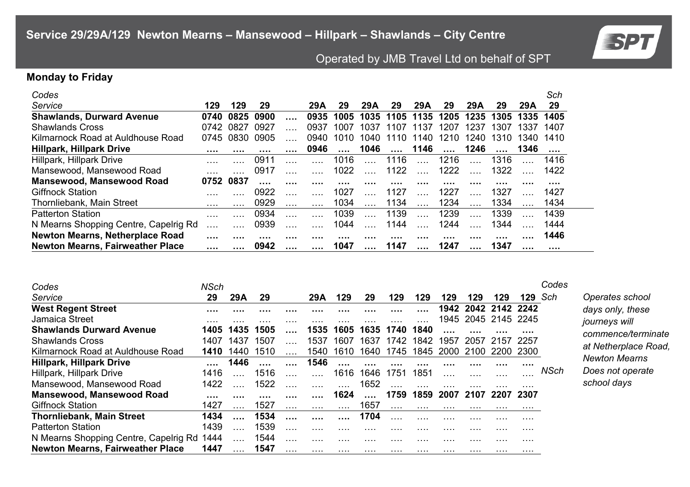

**Operates school** *days only, these journeys will commence/terminate at Netherplace Road, Newton Mearns Does not operate school days* 

# Operated by JMB Travel Ltd on behalf of SPT

#### **Monday to Friday**

| Codes                                 |      |      |      |   |      |          |      |           |          |          |          |      |      | Sch  |
|---------------------------------------|------|------|------|---|------|----------|------|-----------|----------|----------|----------|------|------|------|
| Service                               | 129  | 129  | 29   |   | 29A  | 29       | 29A  | 29        | 29A      | 29       | 29A      | 29   | 29A  | 29   |
| <b>Shawlands, Durward Avenue</b>      | 0740 | 0825 | 0900 |   | 0935 | 1005     | 1035 | 1105      | 1135     | 1205     | 1235     | 1305 | 1335 | 1405 |
| <b>Shawlands Cross</b>                | 0742 | 0827 | 0927 |   | 0937 | 1007     | 1037 | 1107 1137 |          | 1207     | 1237     | 1307 | 1337 | 1407 |
| Kilmarnock Road at Auldhouse Road     | 0745 | 0830 | 0905 |   | 0940 | 1010     | 1040 | 1110      | 1140     | 1210     | 1240     | 1310 | 1340 | 1410 |
| Hillpark, Hillpark Drive              |      | .    |      |   | 0946 |          | 1046 | $\cdots$  | 1146     | $\cdots$ | 1246     |      | 1346 |      |
| Hillpark, Hillpark Drive              |      |      | 0911 |   |      | 1016     |      | 1116      |          | 1216     |          | 1316 |      | 1416 |
| Mansewood, Mansewood Road             |      |      | 0917 |   |      | 1022     |      | 1122      |          | 1222     |          | 1322 |      | 1422 |
| <b>Mansewood, Mansewood Road</b>      | 0752 | 0837 |      |   | .    | $\cdots$ | .    | .         |          |          | .        |      | .    | .    |
| <b>Giffnock Station</b>               |      |      | 0922 |   |      | 1027     |      | 1127      |          | 1227     |          | 1327 |      | 1427 |
| Thornliebank, Main Street             | .    |      | 0929 |   |      | 1034     |      | 1134      | $\cdots$ | 1234     | $\cdots$ | 1334 |      | 1434 |
| <b>Patterton Station</b>              |      |      | 0934 |   |      | 1039     |      | 1139      |          | 1239     |          | 1339 |      | 1439 |
| N Mearns Shopping Centre, Capelrig Rd |      |      | 0939 |   |      | 1044     |      | 1144      |          | 1244     |          | 1344 |      | 1444 |
| Newton Mearns, Netherplace Road       |      | .    |      | . | .    |          |      |           |          |          |          |      |      | 1446 |
| Newton Mearns, Fairweather Place      |      |      | 0942 |   |      | 1047     |      | 1147      |          | 1247     |          | 1347 |      |      |

| Codes                                 | <b>NSch</b> |       |      |   |      |          |      |      |      |      |           |                     |      | Codes       |
|---------------------------------------|-------------|-------|------|---|------|----------|------|------|------|------|-----------|---------------------|------|-------------|
| Service                               | 29          | 29A   | 29   |   | 29 A | 129      | 29   | 129  | 129  | 129  | 129       | 129                 | 129. | Sch         |
| <b>West Regent Street</b>             |             |       |      | . |      |          |      |      | .    |      |           | 1942 2042 2142 2242 |      |             |
| Jamaica Street                        |             |       |      | . |      |          |      |      |      |      |           | 1945 2045 2145 2245 |      |             |
| <b>Shawlands Durward Avenue</b>       | 1405        | 1435  | 1505 |   | 1535 | 1605     | 1635 | 1740 | 1840 |      |           |                     |      |             |
| <b>Shawlands Cross</b>                | 1407        | 1437  | 1507 |   | 1537 | 1607     | 1637 | 1742 | 1842 | 1957 | 2057      | 2157 2257           |      |             |
| Kilmarnock Road at Auldhouse Road     | 1410        | 1440. | 1510 |   | 1540 | 1610     | 1640 | 1745 | 1845 |      | 2000 2100 | 2200                | 2300 |             |
| <b>Hillpark, Hillpark Drive</b>       |             | 1446  |      |   | 1546 |          |      |      |      |      |           |                     |      |             |
| Hillpark, Hillpark Drive              | 1416        |       | 1516 |   |      | 1616     | 1646 | 1751 | 1851 |      |           |                     | .    | <b>NSch</b> |
| Mansewood, Mansewood Road             | 1422        |       | 1522 |   |      |          | 1652 |      |      |      |           |                     |      |             |
| Mansewood, Mansewood Road             |             |       |      |   |      | 1624     |      | 1759 | 1859 | 2007 | 2107      | 2207                | 2307 |             |
| <b>Giffnock Station</b>               | 1427        |       | 1527 |   |      | $\cdots$ | 1657 |      | .    | .    |           |                     | .    |             |
| <b>Thornliebank, Main Street</b>      | 1434        |       | 1534 |   | .    |          | 1704 |      | .    | .    | .         |                     |      |             |
| <b>Patterton Station</b>              | 1439        |       | 1539 |   |      |          |      |      |      |      |           |                     |      |             |
| N Mearns Shopping Centre, Capelrig Rd | 1444        |       | 1544 |   |      |          |      | .    | .    | .    |           |                     |      |             |
| Newton Mearns, Fairweather Place      | 1447        |       | 1547 |   | .    |          | .    |      | .    | .    | .         |                     | .    |             |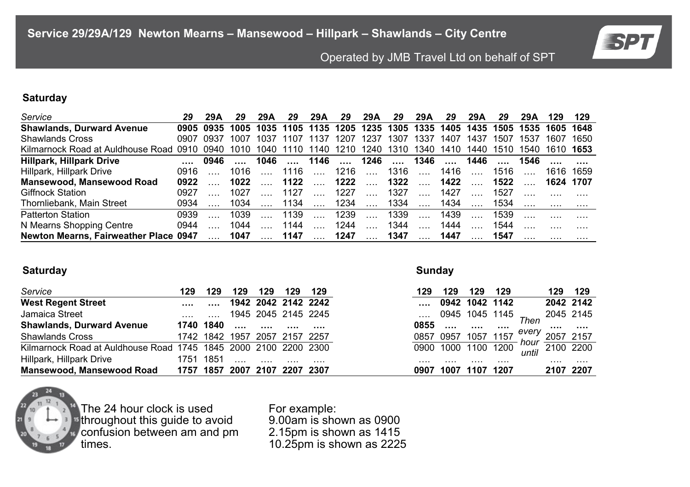

### **Saturday**

| Service                               |      | 29A             | 29               | 29 A | 29                  | 29A                     | 29   | 29A               | 29   | 29A                                          | 29   | 29 A     | 29   | 29A                 | 129       | 129       |
|---------------------------------------|------|-----------------|------------------|------|---------------------|-------------------------|------|-------------------|------|----------------------------------------------|------|----------|------|---------------------|-----------|-----------|
| <b>Shawlands, Durward Avenue</b>      |      |                 | 0905 0935 1005   |      |                     |                         |      |                   |      | 1035 1105 1135 1205 1235 1305 1335 1405 1435 |      |          |      | 1505 1535 1605 1648 |           |           |
| <b>Shawlands Cross</b>                | 0907 | 0937            | 1007             | 1037 | 1107                | 1137                    | 1207 | 1237              | 1307 | 1337                                         | 1407 | 1437     | 1507 | 1537                | 1607      | 1650      |
| Kilmarnock Road at Auldhouse Road     | 0910 |                 | 0940 1010        |      | 1040 1110 1140 1210 |                         |      |                   |      | 1240 1310 1340                               | 1410 | 1440     |      | 1510 1540           | 1610 1653 |           |
| Hillpark, Hillpark Drive              |      | 0946            |                  |      |                     |                         |      |                   |      | 1046  1146  1246  1346                       |      | 1446     |      | 1546                |           |           |
| Hillpark, Hillpark Drive              | 0916 |                 | 1016             |      | 1116                |                         | 1216 | <b>Security</b>   | 1316 |                                              | 1416 | $\sim$   | 1516 |                     |           | 1616 1659 |
| Mansewood, Mansewood Road             | 0922 |                 | 1022             |      | 1122                |                         | 1222 | <b>Collection</b> | 1322 | $\sim$                                       | 1422 |          | 1522 |                     | 1624 1707 |           |
| <b>Giffnock Station</b>               | 0927 |                 | 1027             |      | 1127                |                         | 1227 | <b>Color</b>      | 1327 | $\cdots$                                     | 1427 |          | 1527 |                     |           |           |
| Thornliebank, Main Street             | 0934 |                 | 1034             |      | 1134                | $\sim 100$ km s $^{-1}$ | 1234 | $\ldots$          | 1334 |                                              | 1434 |          | 1534 |                     |           |           |
| <b>Patterton Station</b>              | 0939 |                 | 1039             |      | 1139                | <b>County</b>           | 1239 | $\ldots$          | 1339 | $\cdots$                                     | 1439 | $\ldots$ | 1539 |                     |           |           |
| N Mearns Shopping Centre              | 0944 |                 | 1044             |      | 1144                | $\sim$                  | 1244 | $\ldots$          | 1344 |                                              | 1444 |          | 1544 |                     |           |           |
| Newton Mearns, Fairweather Place 0947 |      | <b>Contract</b> | 1047  1147  1247 |      |                     |                         |      | $\mathbf{1}$      | 1347 |                                              | 1447 |          | 1547 |                     |           |           |

#### **Saturday Sunday**

| Service                                                         | 129  | 129       | 129  | 129                 | 129            | 129                 | 129  | 129  | 129      | 129            |               | 129      | 129       |
|-----------------------------------------------------------------|------|-----------|------|---------------------|----------------|---------------------|------|------|----------|----------------|---------------|----------|-----------|
| <b>West Regent Street</b>                                       |      |           |      |                     |                | 1942 2042 2142 2242 |      |      |          | 0942 1042 1142 |               |          | 2042 2142 |
| Jamaica Street                                                  |      |           |      |                     |                | 1945 2045 2145 2245 |      |      |          | 0945 1045 1145 | $T$ hen       |          | 2045 2145 |
| <b>Shawlands, Durward Avenue</b>                                |      | 1740 1840 |      | $\cdots$            |                |                     | 0855 |      | $\cdots$ |                |               |          |           |
| <b>Shawlands Cross</b>                                          |      | 1742 1842 | 1957 |                     | 2057 2157 2257 |                     | 0857 | 0957 | 1057     | 1157           | every<br>hour |          | 2157      |
| Kilmarnock Road at Auldhouse Road 1745 1845 2000 2100 2200 2300 |      |           |      |                     |                |                     | 0900 | 1000 | 1100     | 1200           | until         |          | 2100 2200 |
| Hillpark, Hillpark Drive                                        | 1751 | 1851      |      |                     |                |                     | .    | .    |          | .              |               | $\cdots$ | .         |
| Mansewood. Mansewood Road                                       |      | 1757 1857 |      | 2007 2107 2207 2307 |                |                     | 0907 | 100, |          | 1207           |               |          | 2107 2207 |



The 24 hour clock is used <sup>15</sup>throughout this guide to avoid confusion between am and pm times.

For example: 9.00am is shown as 0900 2.15pm is shown as 1415 10.25pm is shown as 2225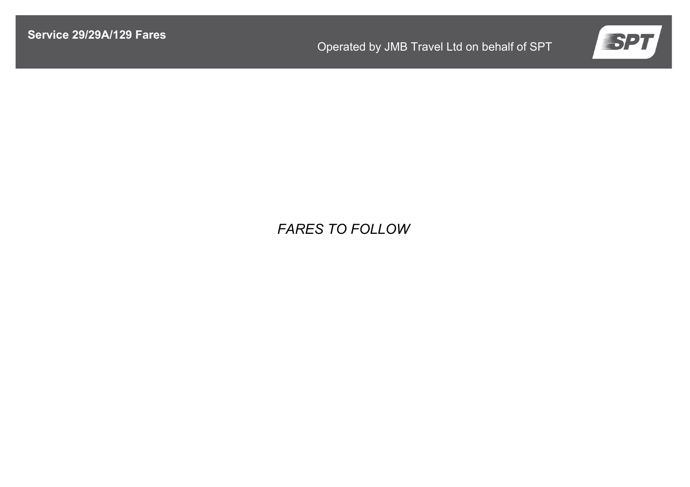

# *FARES TO FOLLOW*